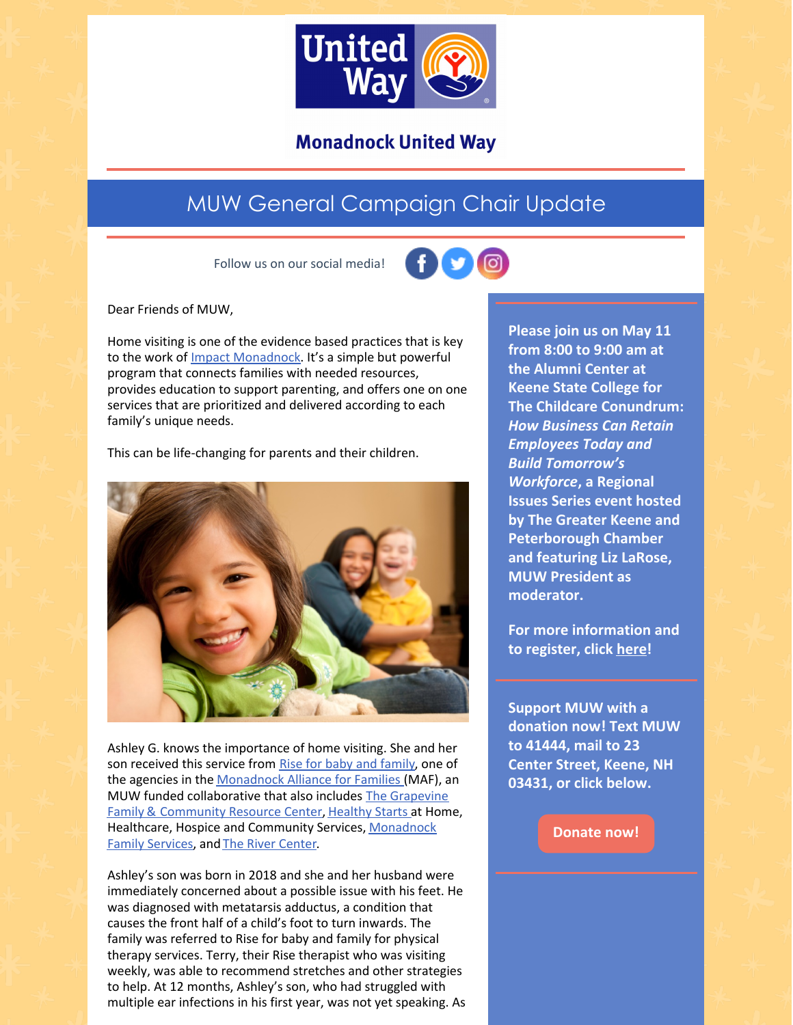

**Monadnock United Way** 

## MUW General Campaign Chair Update

Follow us on our social media!



Dear Friends of MUW,

Home visiting is one of the evidence based practices that is key to the work of Impact [Monadnock](https://www.muw.org/im). It's a simple but powerful program that connects families with needed resources, provides education to support parenting, and offers one on one services that are prioritized and delivered according to each family's unique needs.

This can be life-changing for parents and their children.



Ashley G. knows the importance of home visiting. She and her son received this service from Rise for baby and [family](https://www.riseforbabyandfamily.org/), one of the agencies in the [Monadnock](https://www.muw.org/impact/monadnock-alliance-families-0) Alliance for Families (MAF), an MUW funded [collaborative](https://grapevinenh.org/) that also includes The Grapevine Family & Community Resource Center, [Healthy](https://www.hcsservices.org/services/healthy-starts/) Starts at Home, Healthcare, Hospice and Community Services, [Monadnock](https://www.mfs.org/) Family Services, and The River [Center](https://www.rivercenternh.org/).

Ashley's son was born in 2018 and she and her husband were immediately concerned about a possible issue with his feet. He was diagnosed with metatarsis adductus, a condition that causes the front half of a child's foot to turn inwards. The family was referred to Rise for baby and family for physical therapy services. Terry, their Rise therapist who was visiting weekly, was able to recommend stretches and other strategies to help. At 12 months, Ashley's son, who had struggled with multiple ear infections in his first year, was not yet speaking. As

**Please join us on May 11 from 8:00 to 9:00 am at the Alumni Center at Keene State College for The Childcare Conundrum:** *How Business Can Retain Employees Today and Build Tomorrow's Workforce***, a Regional Issues Series event hosted by The Greater Keene and Peterborough Chamber and featuring Liz LaRose, MUW President as moderator.**

**For more information and to register, click [here](https://www.keenechamber.com/regional-issues-series/)!**

**Support MUW with a donation now! Text MUW to 41444, mail to 23 Center Street, Keene, NH 03431, or click below.**

**[Donate](https://app.mobilecause.com/form/ZRKvlQ?reset=1&%253Bid=1&vid=oi7n5) now!**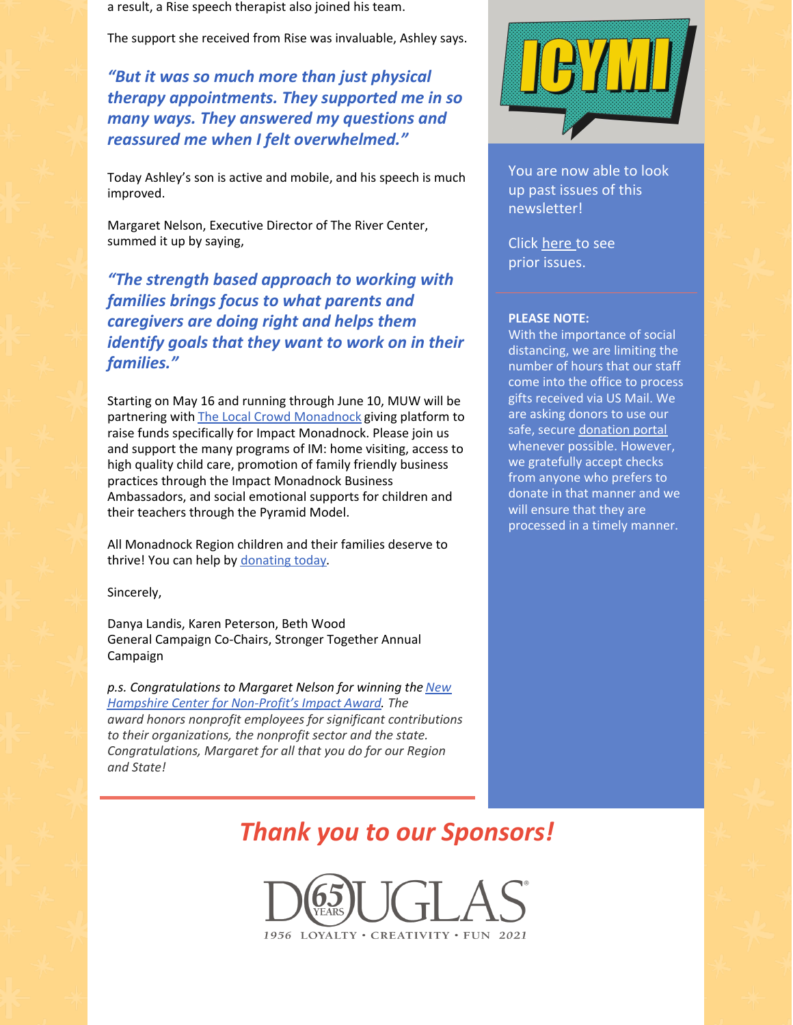a result, a Rise speech therapist also joined his team.

The support she received from Rise was invaluable, Ashley says.

*"But it was so much more than just physical therapy appointments. They supported me in so many ways. They answered my questions and reassured me when I felt overwhelmed."*

Today Ashley's son is active and mobile, and his speech is much improved.

Margaret Nelson, Executive Director of The River Center, summed it up by saying,

*"The strength based approach to working with families brings focus to what parents and caregivers are doing right and helps them identify goals that they want to work on in their families."*

Starting on May 16 and running through June 10, MUW will be partnering with The Local Crowd [Monadnock](https://tlcmonadnock.com/) giving platform to raise funds specifically for Impact Monadnock. Please join us and support the many programs of IM: home visiting, access to high quality child care, promotion of family friendly business practices through the Impact Monadnock Business Ambassadors, and social emotional supports for children and their teachers through the Pyramid Model.

All Monadnock Region children and their families deserve to thrive! You can help by [donating](https://app.mobilecause.com/form/ZRKvlQ?reset=1&%253Bid=1&vid=rw3m6) today.

Sincerely,

Danya Landis, Karen Peterson, Beth Wood General Campaign Co-Chairs, Stronger Together Annual Campaign

*p.s. [Congratulations](https://www.nhnonprofits.org/?q=/insider/nonprofit-impact-awards-announced-0) to Margaret Nelson for winning the New Hampshire Center for Non-Profit's Impact Award. The award honors nonprofit employees for significant contributions to their organizations, the nonprofit sector and the state. Congratulations, Margaret for all that you do for our Region and State!*



You are now able to look up past issues of this newsletter!

Click [here](https://www.muw.org/news/newsletters) to see prior issues.

## **PLEASE NOTE:**

With the importance of social distancing, we are limiting the number of hours that our staff come into the office to process gifts received via US Mail. We are asking donors to use our safe, secure [donation](https://app.mobilecause.com/f/1x8m/n?reset=1&%253Bid=1&vid=jxr2e) portal whenever possible. However, we gratefully accept checks from anyone who prefers to donate in that manner and we will ensure that they are processed in a timely manner.

## *Thank you to our Sponsors!*